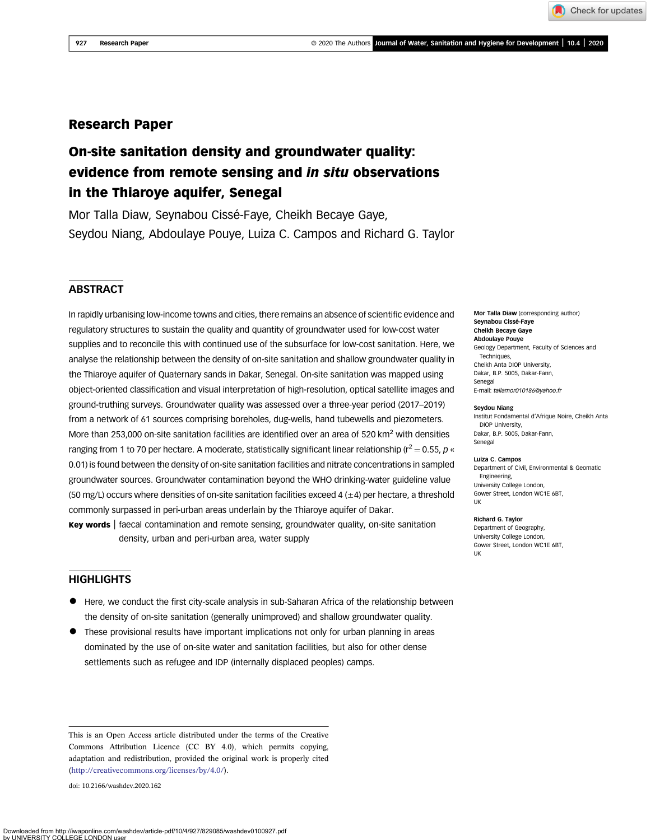# Research Paper

# On-site sanitation density and groundwater quality: evidence from remote sensing and in situ observations in the Thiaroye aquifer, Senegal

Mor Talla Diaw, Seynabou Cissé-Faye, Cheikh Becaye Gaye, Seydou Niang, Abdoulaye Pouye, Luiza C. Campos and Richard G. Taylor

### **ABSTRACT**

In rapidly urbanising low-income towns and cities, there remains an absence of scientific evidence and regulatory structures to sustain the quality and quantity of groundwater used for low-cost water supplies and to reconcile this with continued use of the subsurface for low-cost sanitation. Here, we analyse the relationship between the density of on-site sanitation and shallow groundwater quality in the Thiaroye aquifer of Quaternary sands in Dakar, Senegal. On-site sanitation was mapped using object-oriented classification and visual interpretation of high-resolution, optical satellite images and ground-truthing surveys. Groundwater quality was assessed over a three-year period (2017–2019) from a network of 61 sources comprising boreholes, dug-wells, hand tubewells and piezometers. More than 253,000 on-site sanitation facilities are identified over an area of 520 km<sup>2</sup> with densities ranging from 1 to 70 per hectare. A moderate, statistically significant linear relationship ( $r^2 = 0.55$ , p « 0.01) is found between the density of on-site sanitation facilities and nitrate concentrations in sampled groundwater sources. Groundwater contamination beyond the WHO drinking-water guideline value (50 mg/L) occurs where densities of on-site sanitation facilities exceed 4 (±4) per hectare, a threshold commonly surpassed in peri-urban areas underlain by the Thiaroye aquifer of Dakar.

Key words | faecal contamination and remote sensing, groundwater quality, on-site sanitation density, urban and peri-urban area, water supply

### **HIGHLIGHTS**

- Here, we conduct the first city-scale analysis in sub-Saharan Africa of the relationship between the density of on-site sanitation (generally unimproved) and shallow groundwater quality.
- These provisional results have important implications not only for urban planning in areas dominated by the use of on-site water and sanitation facilities, but also for other dense settlements such as refugee and IDP (internally displaced peoples) camps.

This is an Open Access article distributed under the terms of the Creative Commons Attribution Licence (CC BY 4.0), which permits copying, adaptation and redistribution, provided the original work is properly cited

doi: 10.2166/washdev.2020.162

Mor Talla Diaw (corresponding author) Seynabou Cissé-Faye Cheikh Becaye Gaye Abdoulaye Pouye Geology Department, Faculty of Sciences and Techniques, Cheikh Anta DIOP University, Dakar, B.P. 5005, Dakar-Fann, Senegal E-mail: [tallamor010186@yahoo.fr](mailto:tallamor010186@yahoo.fr)

Check for updates

#### Seydou Niang

Institut Fondamental d'Afrique Noire, Cheikh Anta DIOP University, Dakar, B.P. 5005, Dakar-Fann, Senegal

#### Luiza C. Campos

Department of Civil, Environmental & Geomatic Engineering, University College London, Gower Street, London WC1E 6BT, UK

#### Richard G. Taylor

Department of Geography, University College London, Gower Street, London WC1E 6BT, UK

[\(http://creativecommons.org/licenses/by/4.0/](http://creativecommons.org/licenses/by/4.0/)).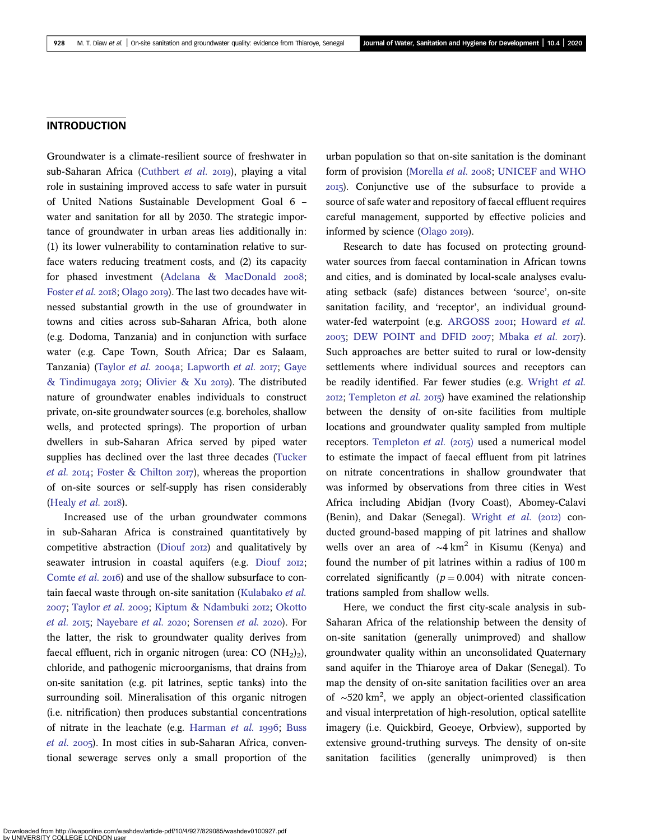### INTRODUCTION

Groundwater is a climate-resilient source of freshwater in sub-Saharan Africa [\(Cuthbert](#page-11-0) et al. 2019), playing a vital role in sustaining improved access to safe water in pursuit of United Nations Sustainable Development Goal 6 – water and sanitation for all by 2030. The strategic importance of groundwater in urban areas lies additionally in: (1) its lower vulnerability to contamination relative to surface waters reducing treatment costs, and (2) its capacity for phased investment ([Adelana & MacDonald](#page-10-0) 2008; [Foster](#page-11-0) et al. 2018; [Olago](#page-11-0) 2019). The last two decades have witnessed substantial growth in the use of groundwater in towns and cities across sub-Saharan Africa, both alone (e.g. Dodoma, Tanzania) and in conjunction with surface water (e.g. Cape Town, South Africa; Dar es Salaam, Tanzania) ([Taylor](#page-12-0) et al. 2004a; [Lapworth](#page-11-0) et al. 2017; Gave [& Tindimugaya](#page-11-0) 2019; [Olivier & Xu](#page-11-0) 2019). The distributed nature of groundwater enables individuals to construct private, on-site groundwater sources (e.g. boreholes, shallow wells, and protected springs). The proportion of urban dwellers in sub-Saharan Africa served by piped water supplies has declined over the last three decades [\(Tucker](#page-12-0) [et al.](#page-12-0) 2014; [Foster & Chilton](#page-11-0) 2017), whereas the proportion of on-site sources or self-supply has risen considerably ([Healy](#page-11-0)  $et$  al. 2018).

Increased use of the urban groundwater commons in sub-Saharan Africa is constrained quantitatively by competitive abstraction ([Diouf](#page-11-0) 2012) and qualitatively by seawater intrusion in coastal aquifers (e.g. [Diouf](#page-11-0) 2012; [Comte](#page-11-0) et al. 2016) and use of the shallow subsurface to contain faecal waste through on-site sanitation ([Kulabako](#page-11-0) et al. 2007; [Taylor](#page-12-0) et al. 2009; [Kiptum & Ndambuki](#page-11-0) 2012; [Okotto](#page-11-0) [et al.](#page-11-0) 2015; [Nayebare](#page-11-0) et al. 2020; [Sorensen](#page-12-0) et al. 2020). For the latter, the risk to groundwater quality derives from faecal effluent, rich in organic nitrogen (urea:  $CO (NH<sub>2</sub>)<sub>2</sub>$ ), chloride, and pathogenic microorganisms, that drains from on-site sanitation (e.g. pit latrines, septic tanks) into the surrounding soil. Mineralisation of this organic nitrogen (i.e. nitrification) then produces substantial concentrations of nitrate in the leachate (e.g. [Harman](#page-11-0) et al.  $1996$ ; [Buss](#page-10-0) [et al.](#page-10-0) 2005). In most cities in sub-Saharan Africa, conventional sewerage serves only a small proportion of the urban population so that on-site sanitation is the dominant form of provision ([Morella](#page-11-0) et al. 2008; [UNICEF and WHO](#page-12-0) ). Conjunctive use of the subsurface to provide a source of safe water and repository of faecal effluent requires careful management, supported by effective policies and informed by science ([Olago](#page-11-0) 2019).

Research to date has focused on protecting groundwater sources from faecal contamination in African towns and cities, and is dominated by local-scale analyses evaluating setback (safe) distances between 'source', on-site sanitation facility, and 'receptor', an individual ground-water-fed waterpoint (e.g. [ARGOSS](#page-10-0) 2001; [Howard](#page-11-0) et al.  $2003$ ; [DEW POINT and DFID](#page-11-0)  $2007$ ; [Mbaka](#page-11-0) et al.  $2017$ ). Such approaches are better suited to rural or low-density settlements where individual sources and receptors can be readily identified. Far fewer studies (e.g. [Wright](#page-12-0) et al.  $20I2$ ; [Templeton](#page-12-0) et al.  $20I5$ ) have examined the relationship between the density of on-site facilities from multiple locations and groundwater quality sampled from multiple receptors. [Templeton](#page-12-0) et al.  $(2015)$  used a numerical model to estimate the impact of faecal effluent from pit latrines on nitrate concentrations in shallow groundwater that was informed by observations from three cities in West Africa including Abidjan (Ivory Coast), Abomey-Calavi (Benin), and Dakar (Senegal). [Wright](#page-12-0) et al. (2012) conducted ground-based mapping of pit latrines and shallow wells over an area of ~4 km<sup>2</sup> in Kisumu (Kenya) and found the number of pit latrines within a radius of 100 m correlated significantly ( $p = 0.004$ ) with nitrate concentrations sampled from shallow wells.

Here, we conduct the first city-scale analysis in sub-Saharan Africa of the relationship between the density of on-site sanitation (generally unimproved) and shallow groundwater quality within an unconsolidated Quaternary sand aquifer in the Thiaroye area of Dakar (Senegal). To map the density of on-site sanitation facilities over an area of ∼520 km2 , we apply an object-oriented classification and visual interpretation of high-resolution, optical satellite imagery (i.e. Quickbird, Geoeye, Orbview), supported by extensive ground-truthing surveys. The density of on-site sanitation facilities (generally unimproved) is then

Downloaded from http://iwaponline.com/washdev/article-pdf/10/4/927/829085/washdev0100927.pdf by UNIVERSITY COLLEGE LONDON user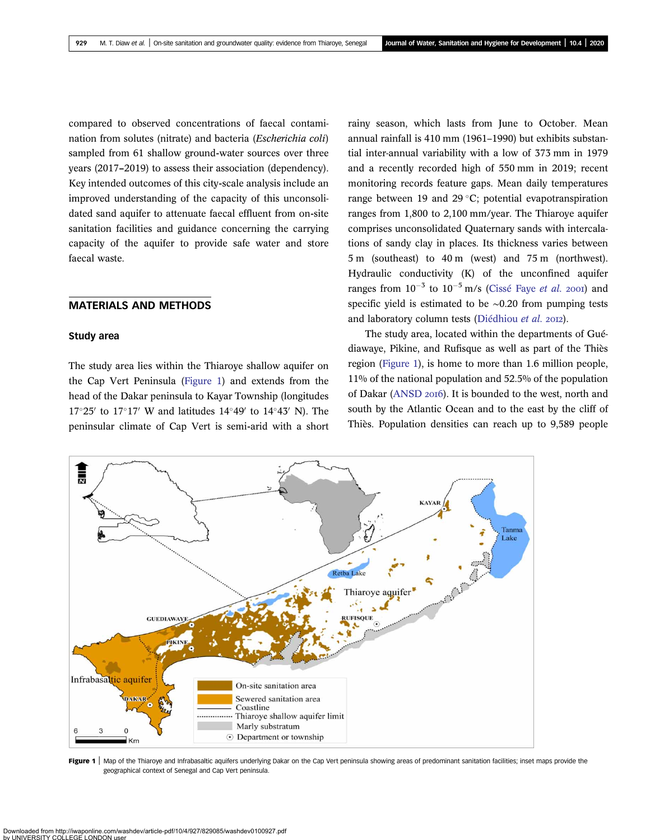<span id="page-2-0"></span>compared to observed concentrations of faecal contamination from solutes (nitrate) and bacteria (Escherichia coli) sampled from 61 shallow ground-water sources over three years (2017–2019) to assess their association (dependency). Key intended outcomes of this city-scale analysis include an improved understanding of the capacity of this unconsolidated sand aquifer to attenuate faecal effluent from on-site sanitation facilities and guidance concerning the carrying capacity of the aquifer to provide safe water and store faecal waste.

### MATERIALS AND METHODS

#### Study area

The study area lies within the Thiaroye shallow aquifer on the Cap Vert Peninsula (Figure 1) and extends from the head of the Dakar peninsula to Kayar Township (longitudes  $17^{\circ}25'$  to  $17^{\circ}17'$  W and latitudes  $14^{\circ}49'$  to  $14^{\circ}43'$  N). The peninsular climate of Cap Vert is semi-arid with a short rainy season, which lasts from June to October. Mean annual rainfall is 410 mm (1961–1990) but exhibits substantial inter-annual variability with a low of 373 mm in 1979 and a recently recorded high of 550 mm in 2019; recent monitoring records feature gaps. Mean daily temperatures range between 19 and 29  $\degree$ C; potential evapotranspiration ranges from 1,800 to 2,100 mm/year. The Thiaroye aquifer comprises unconsolidated Quaternary sands with intercalations of sandy clay in places. Its thickness varies between 5 m (southeast) to 40 m (west) and 75 m (northwest). Hydraulic conductivity (K) of the unconfined aquifer ranges from  $10^{-3}$  to  $10^{-5}$  m/s [\(Cissé Faye](#page-10-0) *et al.* 2001) and specific yield is estimated to be ∼0.20 from pumping tests and laboratory column tests [\(Diédhiou](#page-11-0) et al. 2012).

The study area, located within the departments of Guédiawaye, Pikine, and Rufisque as well as part of the Thiès region (Figure 1), is home to more than 1.6 million people, 11% of the national population and 52.5% of the population of Dakar ([ANSD](#page-10-0) 2016). It is bounded to the west, north and south by the Atlantic Ocean and to the east by the cliff of Thiès. Population densities can reach up to 9,589 people



Figure 1 | Map of the Thiaroye and Infrabasaltic aquifers underlying Dakar on the Cap Vert peninsula showing areas of predominant sanitation facilities; inset maps provide the geographical context of Senegal and Cap Vert peninsula.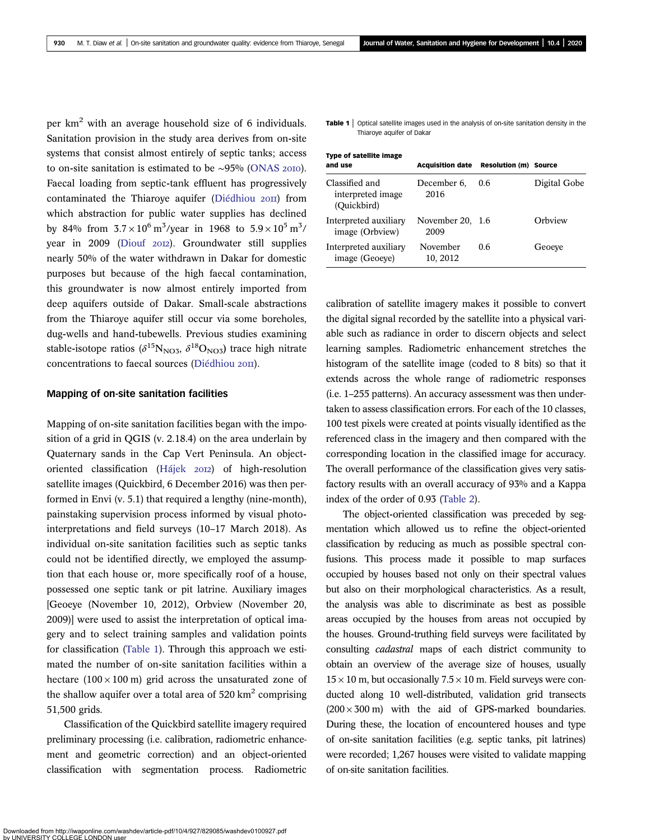per km<sup>2</sup> with an average household size of 6 individuals. Sanitation provision in the study area derives from on-site systems that consist almost entirely of septic tanks; access to on-site sanitation is estimated to be ∼95% ([ONAS](#page-12-0) 2010). Faecal loading from septic-tank effluent has progressively contaminated the Thiaroye aquifer ([Diédhiou](#page-11-0) 2011) from which abstraction for public water supplies has declined by 84% from  $3.7 \times 10^6 \text{ m}^3/\text{year}$  in 1968 to  $5.9 \times 10^5 \text{ m}^3/\text{year}$ year in 2009 [\(Diouf](#page-11-0) 2012). Groundwater still supplies nearly 50% of the water withdrawn in Dakar for domestic purposes but because of the high faecal contamination, this groundwater is now almost entirely imported from deep aquifers outside of Dakar. Small-scale abstractions from the Thiaroye aquifer still occur via some boreholes, dug-wells and hand-tubewells. Previous studies examining stable-isotope ratios ( $\delta^{15}N_{NO3}$ ,  $\delta^{18}O_{NO3}$ ) trace high nitrate concentrations to faecal sources ([Diédhiou](#page-11-0) 2011).

#### Mapping of on-site sanitation facilities

Mapping of on-site sanitation facilities began with the imposition of a grid in QGIS (v. 2.18.4) on the area underlain by Quaternary sands in the Cap Vert Peninsula. An object-oriented classification [\(Hájek](#page-11-0) 2012) of high-resolution satellite images (Quickbird, 6 December 2016) was then performed in Envi (v. 5.1) that required a lengthy (nine-month), painstaking supervision process informed by visual photointerpretations and field surveys (10–17 March 2018). As individual on-site sanitation facilities such as septic tanks could not be identified directly, we employed the assumption that each house or, more specifically roof of a house, possessed one septic tank or pit latrine. Auxiliary images [Geoeye (November 10, 2012), Orbview (November 20, 2009)] were used to assist the interpretation of optical imagery and to select training samples and validation points for classification (Table 1). Through this approach we estimated the number of on-site sanitation facilities within a hectare  $(100 \times 100 \text{ m})$  grid across the unsaturated zone of the shallow aquifer over a total area of  $520 \text{ km}^2$  comprising 51,500 grids.

Classification of the Quickbird satellite imagery required preliminary processing (i.e. calibration, radiometric enhancement and geometric correction) and an object-oriented classification with segmentation process. Radiometric Table 1 | Optical satellite images used in the analysis of on-site sanitation density in the Thiaroye aquifer of Dakar

| <b>Type of satellite image</b><br>and use          | <b>Acquisition date</b>  | <b>Resolution (m) Source</b> |              |
|----------------------------------------------------|--------------------------|------------------------------|--------------|
| Classified and<br>interpreted image<br>(Quickbird) | December 6,<br>2016      | 0.6                          | Digital Gobe |
| Interpreted auxiliary<br>image (Orbview)           | November 20, 1.6<br>2009 |                              | Orbview      |
| Interpreted auxiliary<br>image (Geoeve)            | November<br>10, 2012     | 0.6                          | Geoeve       |

calibration of satellite imagery makes it possible to convert the digital signal recorded by the satellite into a physical variable such as radiance in order to discern objects and select learning samples. Radiometric enhancement stretches the histogram of the satellite image (coded to 8 bits) so that it extends across the whole range of radiometric responses (i.e. 1–255 patterns). An accuracy assessment was then undertaken to assess classification errors. For each of the 10 classes, 100 test pixels were created at points visually identified as the referenced class in the imagery and then compared with the corresponding location in the classified image for accuracy. The overall performance of the classification gives very satisfactory results with an overall accuracy of 93% and a Kappa index of the order of 0.93 [\(Table 2\)](#page-4-0).

The object-oriented classification was preceded by segmentation which allowed us to refine the object-oriented classification by reducing as much as possible spectral confusions. This process made it possible to map surfaces occupied by houses based not only on their spectral values but also on their morphological characteristics. As a result, the analysis was able to discriminate as best as possible areas occupied by the houses from areas not occupied by the houses. Ground-truthing field surveys were facilitated by consulting cadastral maps of each district community to obtain an overview of the average size of houses, usually  $15 \times 10$  m, but occasionally  $7.5 \times 10$  m. Field surveys were conducted along 10 well-distributed, validation grid transects  $(200 \times 300 \text{ m})$  with the aid of GPS-marked boundaries. During these, the location of encountered houses and type of on-site sanitation facilities (e.g. septic tanks, pit latrines) were recorded; 1,267 houses were visited to validate mapping of on-site sanitation facilities.

online.com/washdev/article-pdf/10/4/927/829085/washdev0100927.pdf **Downloaded from http://iwaponline.com/wa**<br>by UNIVERSITY COLLEGE LONDON use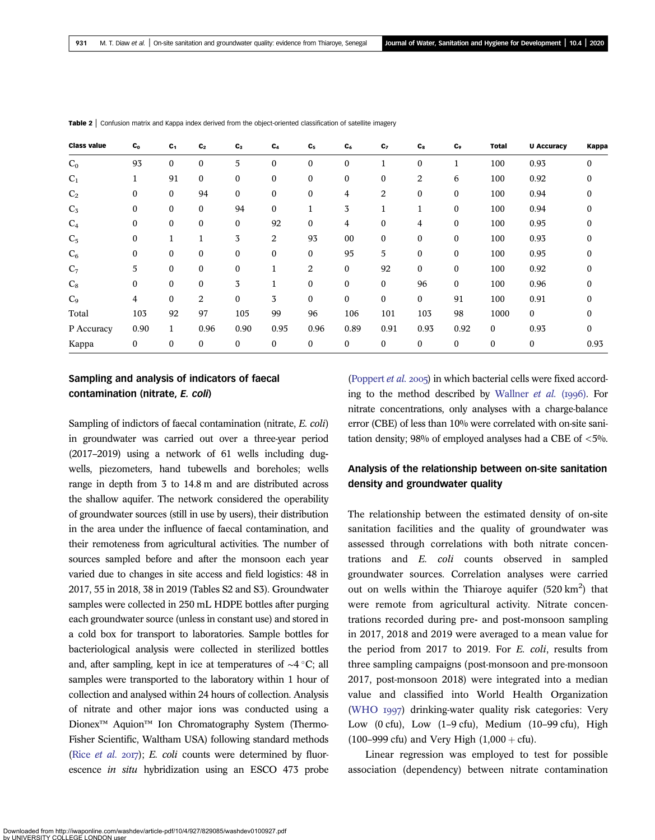| <b>Class value</b> | $c_{o}$          | $c_{1}$          | $C_{2}$          | $C_3$            | $C_4$            | C <sub>5</sub> | $C_6$            | C <sub>7</sub>   | $c_{s}$          | C <sub>9</sub>   | <b>Total</b>     | <b>U Accuracy</b> | Kappa        |
|--------------------|------------------|------------------|------------------|------------------|------------------|----------------|------------------|------------------|------------------|------------------|------------------|-------------------|--------------|
| $C_0$              | 93               | $\boldsymbol{0}$ | $\boldsymbol{0}$ | 5                | $\boldsymbol{0}$ | $\mathbf{0}$   | $\mathbf{0}$     |                  | $\boldsymbol{0}$ |                  | 100              | 0.93              | $\mathbf{0}$ |
| $C_1$              | 1                | 91               | $\mathbf{0}$     | $\mathbf{0}$     | $\mathbf{0}$     | $\mathbf{0}$   | $\boldsymbol{0}$ | $\bf{0}$         | 2                | 6                | 100              | 0.92              |              |
| C <sub>2</sub>     | $\bf{0}$         | $\bf{0}$         | 94               | $\mathbf{0}$     | $\boldsymbol{0}$ | $\mathbf{0}$   | 4                | 2                | 0                | $\mathbf{0}$     | 100              | 0.94              |              |
| $C_5$              | $\Omega$         | $\mathbf{0}$     | $\mathbf{0}$     | 94               | $\mathbf{0}$     |                | 3                |                  | $\mathbf{1}$     | 0                | 100              | 0.94              |              |
| $C_4$              | $\bf{0}$         | $\bf{0}$         | $\bf{0}$         | $\mathbf{0}$     | 92               | $\mathbf{0}$   | 4                | $\boldsymbol{0}$ | 4                | $\mathbf{0}$     | 100              | 0.95              | 0            |
| C <sub>5</sub>     | $\mathbf{0}$     | 1                | 1                | 3                | $\overline{2}$   | 93             | 00               | $\boldsymbol{0}$ | 0                | $\boldsymbol{0}$ | 100              | 0.93              |              |
| $C_6$              | $\bf{0}$         | $\mathbf{0}$     | $\boldsymbol{0}$ | $\boldsymbol{0}$ | $\mathbf{0}$     | $\mathbf{0}$   | 95               | 5                | $\mathbf{0}$     | $\mathbf{0}$     | 100              | 0.95              |              |
| $C_7$              | 5                | $\boldsymbol{0}$ | $\boldsymbol{0}$ | $\boldsymbol{0}$ | T                | $\overline{2}$ | $\boldsymbol{0}$ | 92               | $\boldsymbol{0}$ | 0                | 100              | 0.92              | 0            |
| $C_8$              | $\Omega$         | $\mathbf{0}$     | $\mathbf{0}$     | 3                |                  | $\Omega$       | $\mathbf{0}$     | $\Omega$         | 96               | $\mathbf{0}$     | 100              | 0.96              |              |
| C <sub>9</sub>     | 4                | $\mathbf{0}$     | 2                | $\theta$         | 3                | $\mathbf{0}$   | $\mathbf{0}$     | $\mathbf{0}$     | $\mathbf{0}$     | 91               | 100              | 0.91              | 0            |
| Total              | 103              | 92               | 97               | 105              | 99               | 96             | 106              | 101              | 103              | 98               | 1000             | 0                 |              |
| P Accuracy         | 0.90             | $\mathbf{1}$     | 0.96             | 0.90             | 0.95             | 0.96           | 0.89             | 0.91             | 0.93             | 0.92             | $\mathbf{0}$     | 0.93              | $\Omega$     |
| Kappa              | $\boldsymbol{0}$ | $\mathbf{0}$     | $\boldsymbol{0}$ | $\boldsymbol{0}$ | $\boldsymbol{0}$ | $\mathbf{0}$   | $\boldsymbol{0}$ | $\mathbf{0}$     | 0                | $\mathbf{0}$     | $\boldsymbol{0}$ | 0                 | 0.93         |

<span id="page-4-0"></span>Table 2 | Confusion matrix and Kappa index derived from the object-oriented classification of satellite imagery

## Sampling and analysis of indicators of faecal contamination (nitrate, E. coli)

Sampling of indictors of faecal contamination (nitrate, E. coli) in groundwater was carried out over a three-year period (2017–2019) using a network of 61 wells including dugwells, piezometers, hand tubewells and boreholes; wells range in depth from 3 to 14.8 m and are distributed across the shallow aquifer. The network considered the operability of groundwater sources (still in use by users), their distribution in the area under the influence of faecal contamination, and their remoteness from agricultural activities. The number of sources sampled before and after the monsoon each year varied due to changes in site access and field logistics: 48 in 2017, 55 in 2018, 38 in 2019 (Tables S2 and S3). Groundwater samples were collected in 250 mL HDPE bottles after purging each groundwater source (unless in constant use) and stored in a cold box for transport to laboratories. Sample bottles for bacteriological analysis were collected in sterilized bottles and, after sampling, kept in ice at temperatures of  $\sim$ 4 °C; all samples were transported to the laboratory within 1 hour of collection and analysed within 24 hours of collection. Analysis of nitrate and other major ions was conducted using a Dionex<sup>™</sup> Aquion<sup>™</sup> Ion Chromatography System (Thermo-Fisher Scientific, Waltham USA) following standard methods (Rice *[et al.](#page-12-0)* 2017); E. *coli* counts were determined by fluorescence in situ hybridization using an ESCO 473 probe

[\(Poppert](#page-12-0) *et al.* 2005) in which bacterial cells were fixed accord-ing to the method described by [Wallner](#page-12-0) *et al.* ( $1996$ ). For nitrate concentrations, only analyses with a charge-balance error (CBE) of less than 10% were correlated with on-site sanitation density; 98% of employed analyses had a CBE of  $\langle 5\% \rangle$ .

# Analysis of the relationship between on-site sanitation density and groundwater quality

The relationship between the estimated density of on-site sanitation facilities and the quality of groundwater was assessed through correlations with both nitrate concentrations and E. coli counts observed in sampled groundwater sources. Correlation analyses were carried out on wells within the Thiaroye aquifer  $(520 \text{ km}^2)$  that were remote from agricultural activity. Nitrate concentrations recorded during pre- and post-monsoon sampling in 2017, 2018 and 2019 were averaged to a mean value for the period from 2017 to 2019. For E. coli, results from three sampling campaigns (post-monsoon and pre-monsoon 2017, post-monsoon 2018) were integrated into a median value and classified into World Health Organization [\(WHO](#page-12-0) 1997) drinking-water quality risk categories: Very Low  $(0 \text{ cfu})$ , Low  $(1-9 \text{ cfu})$ , Medium  $(10-99 \text{ cfu})$ , High (100–999 cfu) and Very High  $(1,000 + c$ fu).

Linear regression was employed to test for possible association (dependency) between nitrate contamination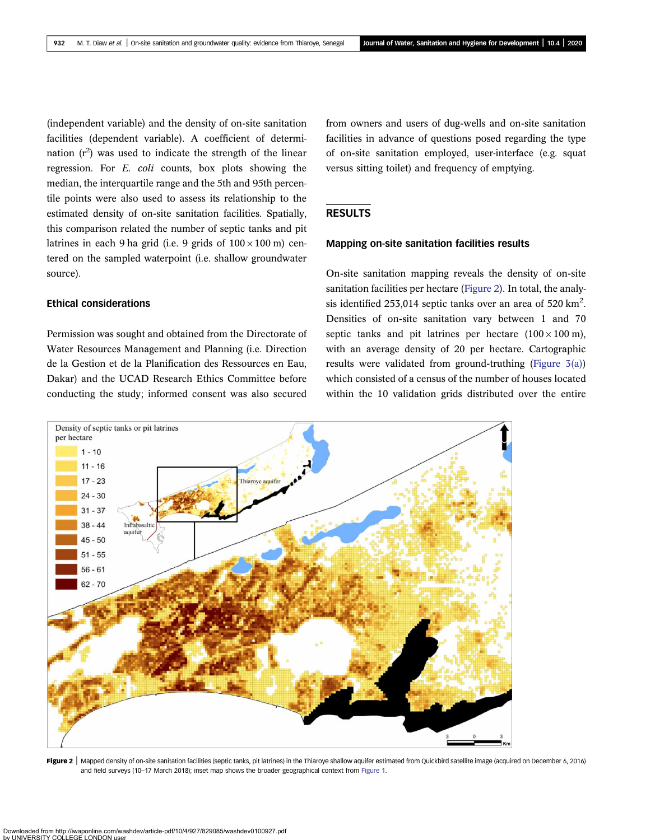(independent variable) and the density of on-site sanitation facilities (dependent variable). A coefficient of determination  $(r^2)$  was used to indicate the strength of the linear regression. For E. coli counts, box plots showing the median, the interquartile range and the 5th and 95th percentile points were also used to assess its relationship to the estimated density of on-site sanitation facilities. Spatially, this comparison related the number of septic tanks and pit latrines in each 9 ha grid (i.e. 9 grids of  $100 \times 100$  m) centered on the sampled waterpoint (i.e. shallow groundwater source).

Ethical considerations

Permission was sought and obtained from the Directorate of Water Resources Management and Planning (i.e. Direction de la Gestion et de la Planification des Ressources en Eau, Dakar) and the UCAD Research Ethics Committee before conducting the study; informed consent was also secured

from owners and users of dug-wells and on-site sanitation facilities in advance of questions posed regarding the type of on-site sanitation employed, user-interface (e.g. squat versus sitting toilet) and frequency of emptying.

### RESULTS

#### Mapping on-site sanitation facilities results

On-site sanitation mapping reveals the density of on-site sanitation facilities per hectare (Figure 2). In total, the analysis identified 253,014 septic tanks over an area of 520 km<sup>2</sup>. Densities of on-site sanitation vary between 1 and 70 septic tanks and pit latrines per hectare  $(100 \times 100 \text{ m})$ , with an average density of 20 per hectare. Cartographic results were validated from ground-truthing [\(Figure 3\(a\)](#page-6-0)) which consisted of a census of the number of houses located within the 10 validation grids distributed over the entire



Figure 2 | Mapped density of on-site sanitation facilities (septic tanks, pit latrines) in the Thiaroye shallow aquifer estimated from Quickbird satellite image (acquired on December 6, 2016) and field surveys (10–17 March 2018); inset map shows the broader geographical context from [Figure 1.](#page-2-0)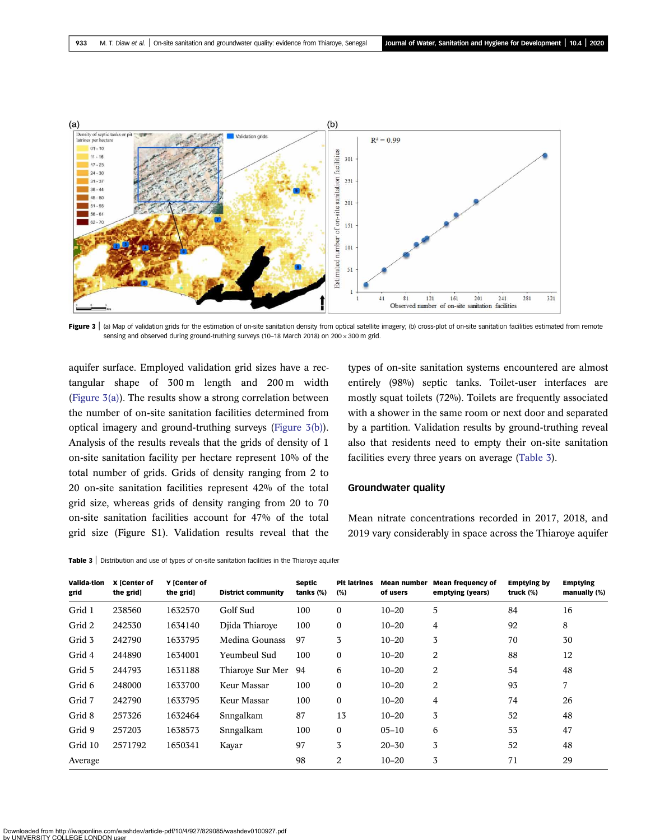<span id="page-6-0"></span>

Figure 3 | (a) Map of validation grids for the estimation of on-site sanitation density from optical satellite imagery; (b) cross-plot of on-site sanitation facilities estimated from remote sensing and observed during ground-truthing surveys (10-18 March 2018) on 200 × 300 m grid.

aquifer surface. Employed validation grid sizes have a rectangular shape of 300 m length and 200 m width (Figure  $3(a)$ ). The results show a strong correlation between the number of on-site sanitation facilities determined from optical imagery and ground-truthing surveys (Figure 3(b)). Analysis of the results reveals that the grids of density of 1 on-site sanitation facility per hectare represent 10% of the total number of grids. Grids of density ranging from 2 to 20 on-site sanitation facilities represent 42% of the total grid size, whereas grids of density ranging from 20 to 70 on-site sanitation facilities account for 47% of the total grid size (Figure S1). Validation results reveal that the

types of on-site sanitation systems encountered are almost entirely (98%) septic tanks. Toilet-user interfaces are mostly squat toilets (72%). Toilets are frequently associated with a shower in the same room or next door and separated by a partition. Validation results by ground-truthing reveal also that residents need to empty their on-site sanitation facilities every three years on average (Table 3).

#### Groundwater quality

Mean nitrate concentrations recorded in 2017, 2018, and 2019 vary considerably in space across the Thiaroye aquifer

|  | Table 3   Distribution and use of types of on-site sanitation facilities in the Thiaroye aquifer |  |
|--|--------------------------------------------------------------------------------------------------|--|
|--|--------------------------------------------------------------------------------------------------|--|

| Valida-tion<br>grid | X [Center of<br>the grid] | Y ICenter of<br>the grid] | <b>District community</b> | <b>Septic</b><br>tanks $(\%)$ | <b>Pit latrines</b><br>(%) | <b>Mean number</b><br>of users | <b>Mean frequency of</b><br>emptying (years) | <b>Emptying by</b><br>truck (%) | <b>Emptying</b><br>manually (%) |
|---------------------|---------------------------|---------------------------|---------------------------|-------------------------------|----------------------------|--------------------------------|----------------------------------------------|---------------------------------|---------------------------------|
| Grid 1              | 238560                    | 1632570                   | Golf Sud                  | 100                           | $\mathbf{0}$               | $10 - 20$                      | 5                                            | 84                              | 16                              |
| Grid 2              | 242530                    | 1634140                   | Djida Thiarove            | 100                           | $\mathbf{0}$               | $10 - 20$                      | 4                                            | 92                              | 8                               |
| Grid 3              | 242790                    | 1633795                   | Medina Gounass            | 97                            | 3                          | $10 - 20$                      | 3                                            | 70                              | 30                              |
| Grid 4              | 244890                    | 1634001                   | Yeumbeul Sud              | 100                           | $\mathbf{0}$               | $10 - 20$                      | 2                                            | 88                              | 12                              |
| Grid 5              | 244793                    | 1631188                   | Thiarove Sur Mer          | 94                            | 6                          | $10 - 20$                      | 2                                            | 54                              | 48                              |
| Grid 6              | 248000                    | 1633700                   | Keur Massar               | 100                           | $\mathbf{0}$               | $10 - 20$                      | 2                                            | 93                              | 7                               |
| Grid 7              | 242790                    | 1633795                   | Keur Massar               | 100                           | $\mathbf{0}$               | $10 - 20$                      | 4                                            | 74                              | 26                              |
| Grid 8              | 257326                    | 1632464                   | Snngalkam                 | 87                            | 13                         | $10 - 20$                      | 3                                            | 52                              | 48                              |
| Grid 9              | 257203                    | 1638573                   | Snngalkam                 | 100                           | $\mathbf{0}$               | $05 - 10$                      | 6                                            | 53                              | 47                              |
| Grid 10             | 2571792                   | 1650341                   | Kayar                     | 97                            | 3                          | $20 - 30$                      | 3                                            | 52                              | 48                              |
| Average             |                           |                           |                           | 98                            | 2                          | $10 - 20$                      | 3                                            | 71                              | 29                              |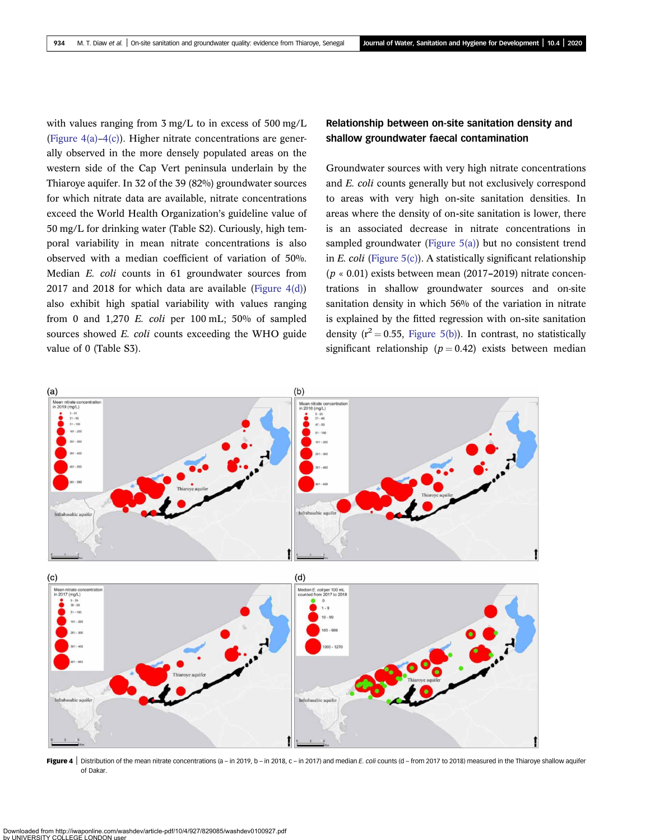<span id="page-7-0"></span>with values ranging from 3 mg/L to in excess of 500 mg/L (Figure  $4(a) - 4(c)$ ). Higher nitrate concentrations are generally observed in the more densely populated areas on the western side of the Cap Vert peninsula underlain by the Thiaroye aquifer. In 32 of the 39 (82%) groundwater sources for which nitrate data are available, nitrate concentrations exceed the World Health Organization's guideline value of 50 mg/L for drinking water (Table S2). Curiously, high temporal variability in mean nitrate concentrations is also observed with a median coefficient of variation of 50%. Median E. coli counts in 61 groundwater sources from 2017 and 2018 for which data are available (Figure  $4(d)$ ) also exhibit high spatial variability with values ranging from 0 and 1,270 E. coli per  $100 \text{ mL}$ ;  $50\%$  of sampled sources showed E. coli counts exceeding the WHO guide value of 0 (Table S3).

### Relationship between on-site sanitation density and shallow groundwater faecal contamination

Groundwater sources with very high nitrate concentrations and E. coli counts generally but not exclusively correspond to areas with very high on-site sanitation densities. In areas where the density of on-site sanitation is lower, there is an associated decrease in nitrate concentrations in sampled groundwater [\(Figure 5\(a\)](#page-8-0)) but no consistent trend in E. coli (Figure  $5(c)$ ). A statistically significant relationship  $(p \times 0.01)$  exists between mean (2017–2019) nitrate concentrations in shallow groundwater sources and on-site sanitation density in which 56% of the variation in nitrate is explained by the fitted regression with on-site sanitation density ( $r^2 = 0.55$ , [Figure 5\(b\)\)](#page-8-0). In contrast, no statistically significant relationship ( $p = 0.42$ ) exists between median



Figure 4 | Distribution of the mean nitrate concentrations (a – in 2019, b – in 2018, c – in 2017) and median E. coli counts (d – from 2017 to 2018) measured in the Thiaroye shallow aquifer of Dakar.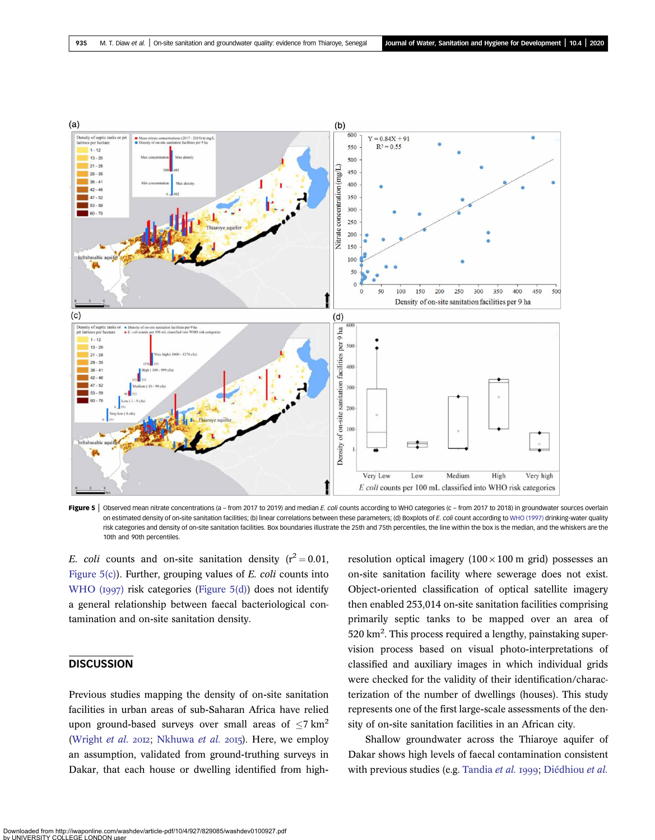<span id="page-8-0"></span>

Figure 5 | Observed mean nitrate concentrations (a - from 2017 to 2019) and median E. coli counts according to WHO categories (c - from 2017 to 2018) in groundwater sources overlain on estimated density of on-site sanitation facilities; (b) linear correlations between these parameters; (d) Boxplots of E. coli count according to [WHO \(1997\)](#page-12-0) drinking-water quality risk categories and density of on-site sanitation facilities. Box boundaries illustrate the 25th and 75th percentiles, the line within the box is the median, and the whiskers are the 10th and 90th percentiles.

E. coli counts and on-site sanitation density  $(r^2 = 0.01,$ Figure 5(c)). Further, grouping values of *E. coli* counts into [WHO \(](#page-12-0) $1997$ ) risk categories (Figure 5(d)) does not identify a general relationship between faecal bacteriological contamination and on-site sanitation density.

### **DISCUSSION**

Previous studies mapping the density of on-site sanitation facilities in urban areas of sub-Saharan Africa have relied upon ground-based surveys over small areas of  $\langle 7 \text{ km}^2 \rangle$ [\(Wright](#page-12-0) et al. 2012; [Nkhuwa](#page-11-0) et al. 2015). Here, we employ an assumption, validated from ground-truthing surveys in Dakar, that each house or dwelling identified from highresolution optical imagery  $(100 \times 100 \text{ m grid})$  possesses an on-site sanitation facility where sewerage does not exist. Object-oriented classification of optical satellite imagery then enabled 253,014 on-site sanitation facilities comprising primarily septic tanks to be mapped over an area of 520 km<sup>2</sup>. This process required a lengthy, painstaking supervision process based on visual photo-interpretations of classified and auxiliary images in which individual grids were checked for the validity of their identification/characterization of the number of dwellings (houses). This study represents one of the first large-scale assessments of the density of on-site sanitation facilities in an African city.

Shallow groundwater across the Thiaroye aquifer of Dakar shows high levels of faecal contamination consistent with previous studies (e.g. [Tandia](#page-12-0) et al. 1999; [Diédhiou](#page-11-0) et al.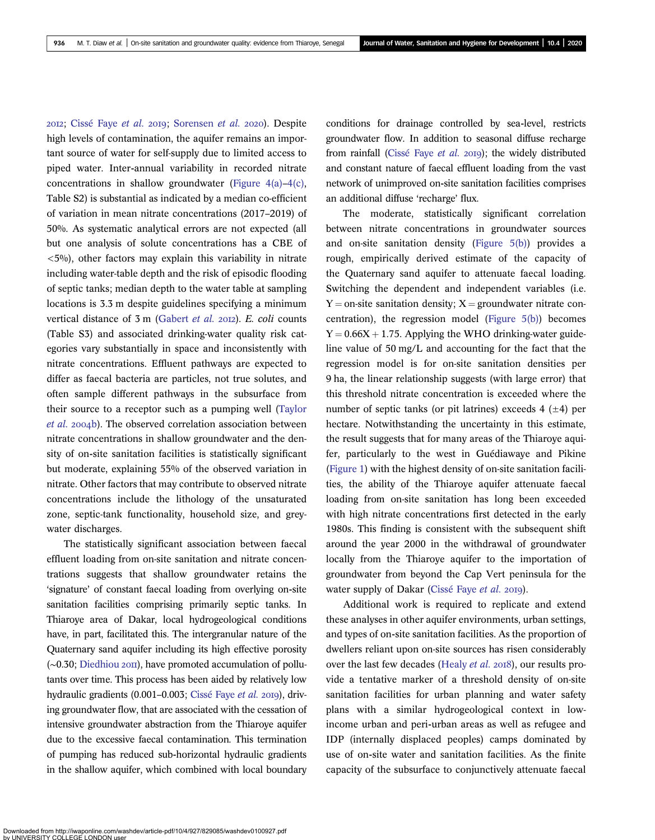2012; [Cissé Faye](#page-10-0) et al. 2019; [Sorensen](#page-12-0) et al. 2020). Despite high levels of contamination, the aquifer remains an important source of water for self-supply due to limited access to piped water. Inter-annual variability in recorded nitrate concentrations in shallow groundwater ([Figure 4\(a\)](#page-7-0)–[4\(c\)](#page-7-0), Table S2) is substantial as indicated by a median co-efficient of variation in mean nitrate concentrations (2017–2019) of 50%. As systematic analytical errors are not expected (all but one analysis of solute concentrations has a CBE of  $\langle 5\%$ ), other factors may explain this variability in nitrate including water-table depth and the risk of episodic flooding of septic tanks; median depth to the water table at sampling locations is 3.3 m despite guidelines specifying a minimum vertical distance of 3 m [\(Gabert](#page-11-0) et al. 2012). E. coli counts (Table S3) and associated drinking-water quality risk categories vary substantially in space and inconsistently with nitrate concentrations. Effluent pathways are expected to differ as faecal bacteria are particles, not true solutes, and often sample different pathways in the subsurface from their source to a receptor such as a pumping well [\(Taylor](#page-12-0) [et al.](#page-12-0) 2004b). The observed correlation association between nitrate concentrations in shallow groundwater and the density of on-site sanitation facilities is statistically significant but moderate, explaining 55% of the observed variation in nitrate. Other factors that may contribute to observed nitrate concentrations include the lithology of the unsaturated zone, septic-tank functionality, household size, and greywater discharges.

The statistically significant association between faecal effluent loading from on-site sanitation and nitrate concentrations suggests that shallow groundwater retains the 'signature' of constant faecal loading from overlying on-site sanitation facilities comprising primarily septic tanks. In Thiaroye area of Dakar, local hydrogeological conditions have, in part, facilitated this. The intergranular nature of the Quaternary sand aquifer including its high effective porosity (∼0.30; [Diedhiou](#page-11-0) 2оп), have promoted accumulation of pollutants over time. This process has been aided by relatively low hydraulic gradients (0.001-0.003; [Cissé Faye](#page-10-0) et al. 2019), driving groundwater flow, that are associated with the cessation of intensive groundwater abstraction from the Thiaroye aquifer due to the excessive faecal contamination. This termination of pumping has reduced sub-horizontal hydraulic gradients in the shallow aquifer, which combined with local boundary conditions for drainage controlled by sea-level, restricts groundwater flow. In addition to seasonal diffuse recharge from rainfall [\(Cissé Faye](#page-10-0) et al. 2019); the widely distributed and constant nature of faecal effluent loading from the vast network of unimproved on-site sanitation facilities comprises an additional diffuse 'recharge' flux.

The moderate, statistically significant correlation between nitrate concentrations in groundwater sources and on-site sanitation density [\(Figure 5\(b\)\)](#page-8-0) provides a rough, empirically derived estimate of the capacity of the Quaternary sand aquifer to attenuate faecal loading. Switching the dependent and independent variables (i.e.  $Y =$  on-site sanitation density;  $X =$  groundwater nitrate concentration), the regression model [\(Figure 5\(b\)\)](#page-8-0) becomes  $Y = 0.66X + 1.75$ . Applying the WHO drinking-water guideline value of 50 mg/L and accounting for the fact that the regression model is for on-site sanitation densities per 9 ha, the linear relationship suggests (with large error) that this threshold nitrate concentration is exceeded where the number of septic tanks (or pit latrines) exceeds  $4 (+4)$  per hectare. Notwithstanding the uncertainty in this estimate, the result suggests that for many areas of the Thiaroye aquifer, particularly to the west in Guédiawaye and Pikine ([Figure 1](#page-2-0)) with the highest density of on-site sanitation facilities, the ability of the Thiaroye aquifer attenuate faecal loading from on-site sanitation has long been exceeded with high nitrate concentrations first detected in the early 1980s. This finding is consistent with the subsequent shift around the year 2000 in the withdrawal of groundwater locally from the Thiaroye aquifer to the importation of groundwater from beyond the Cap Vert peninsula for the water supply of Dakar ([Cissé Faye](#page-10-0) et al. 2019).

Additional work is required to replicate and extend these analyses in other aquifer environments, urban settings, and types of on-site sanitation facilities. As the proportion of dwellers reliant upon on-site sources has risen considerably over the last few decades ([Healy](#page-11-0) et al. 2018), our results provide a tentative marker of a threshold density of on-site sanitation facilities for urban planning and water safety plans with a similar hydrogeological context in lowincome urban and peri-urban areas as well as refugee and IDP (internally displaced peoples) camps dominated by use of on-site water and sanitation facilities. As the finite capacity of the subsurface to conjunctively attenuate faecal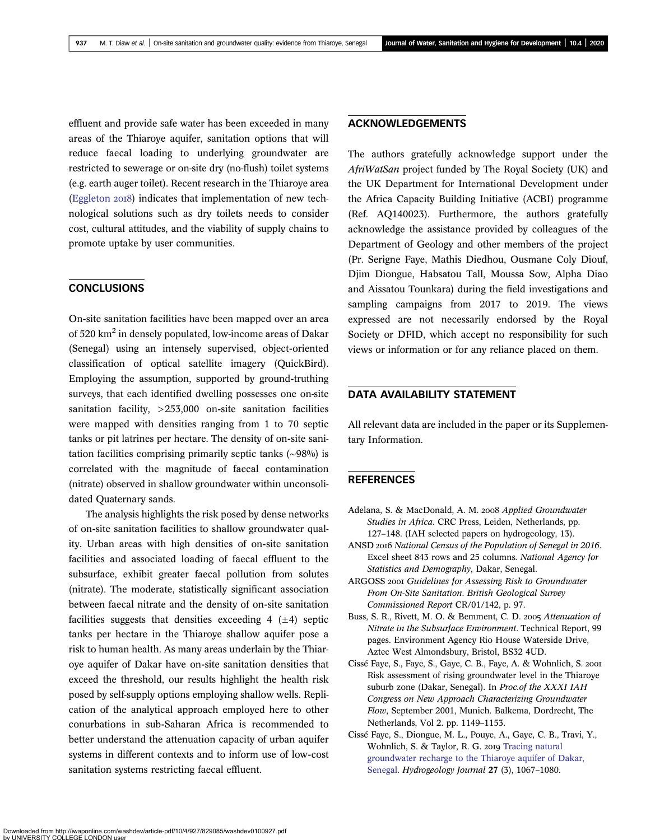<span id="page-10-0"></span>effluent and provide safe water has been exceeded in many areas of the Thiaroye aquifer, sanitation options that will reduce faecal loading to underlying groundwater are restricted to sewerage or on-site dry (no-flush) toilet systems (e.g. earth auger toilet). Recent research in the Thiaroye area [\(Eggleton](#page-11-0) 2018) indicates that implementation of new technological solutions such as dry toilets needs to consider cost, cultural attitudes, and the viability of supply chains to promote uptake by user communities.

### **CONCLUSIONS**

On-site sanitation facilities have been mapped over an area of 520 km<sup>2</sup> in densely populated, low-income areas of Dakar (Senegal) using an intensely supervised, object-oriented classification of optical satellite imagery (QuickBird). Employing the assumption, supported by ground-truthing surveys, that each identified dwelling possesses one on-site sanitation facility, >253,000 on-site sanitation facilities were mapped with densities ranging from 1 to 70 septic tanks or pit latrines per hectare. The density of on-site sanitation facilities comprising primarily septic tanks (∼98%) is correlated with the magnitude of faecal contamination (nitrate) observed in shallow groundwater within unconsolidated Quaternary sands.

The analysis highlights the risk posed by dense networks of on-site sanitation facilities to shallow groundwater quality. Urban areas with high densities of on-site sanitation facilities and associated loading of faecal effluent to the subsurface, exhibit greater faecal pollution from solutes (nitrate). The moderate, statistically significant association between faecal nitrate and the density of on-site sanitation facilities suggests that densities exceeding 4  $(\pm 4)$  septic tanks per hectare in the Thiaroye shallow aquifer pose a risk to human health. As many areas underlain by the Thiaroye aquifer of Dakar have on-site sanitation densities that exceed the threshold, our results highlight the health risk posed by self-supply options employing shallow wells. Replication of the analytical approach employed here to other conurbations in sub-Saharan Africa is recommended to better understand the attenuation capacity of urban aquifer systems in different contexts and to inform use of low-cost sanitation systems restricting faecal effluent.

### ACKNOWLEDGEMENTS

The authors gratefully acknowledge support under the AfriWatSan project funded by The Royal Society (UK) and the UK Department for International Development under the Africa Capacity Building Initiative (ACBI) programme (Ref. AQ140023). Furthermore, the authors gratefully acknowledge the assistance provided by colleagues of the Department of Geology and other members of the project (Pr. Serigne Faye, Mathis Diedhou, Ousmane Coly Diouf, Djim Diongue, Habsatou Tall, Moussa Sow, Alpha Diao and Aissatou Tounkara) during the field investigations and sampling campaigns from 2017 to 2019. The views expressed are not necessarily endorsed by the Royal Society or DFID, which accept no responsibility for such views or information or for any reliance placed on them.

### DATA AVAILABILITY STATEMENT

All relevant data are included in the paper or its Supplementary Information.

### **REFERENCES**

- Adelana, S. & MacDonald, A. M. 2008 Applied Groundwater Studies in Africa. CRC Press, Leiden, Netherlands, pp. 127–148. (IAH selected papers on hydrogeology, 13).
- ANSD 2016 National Census of the Population of Senegal in 2016. Excel sheet 843 rows and 25 columns. National Agency for Statistics and Demography, Dakar, Senegal.
- ARGOSS 2001 Guidelines for Assessing Risk to Groundwater From On-Site Sanitation. British Geological Survey Commissioned Report CR/01/142, p. 97.
- Buss, S. R., Rivett, M. O. & Bemment, C. D. 2005 Attenuation of Nitrate in the Subsurface Environment. Technical Report, 99 pages. Environment Agency Rio House Waterside Drive, Aztec West Almondsbury, Bristol, BS32 4UD.
- Cissé Faye, S., Faye, S., Gaye, C. B., Faye, A. & Wohnlich, S. Risk assessment of rising groundwater level in the Thiaroye suburb zone (Dakar, Senegal). In Proc.of the XXXI IAH Congress on New Approach Characterizing Groundwater Flow, September 2001, Munich. Balkema, Dordrecht, The Netherlands, Vol 2. pp. 1149–1153.
- Cissé Faye, S., Diongue, M. L., Pouye, A., Gaye, C. B., Travi, Y., Wohnlich, S. & Taylor, R. G. 2019 [Tracing natural](http://dx.doi.org/10.1007/s10040-018-01923-8) [groundwater recharge to the Thiaroye aquifer of Dakar,](http://dx.doi.org/10.1007/s10040-018-01923-8) [Senegal.](http://dx.doi.org/10.1007/s10040-018-01923-8) Hydrogeology Journal 27 (3), 1067–1080.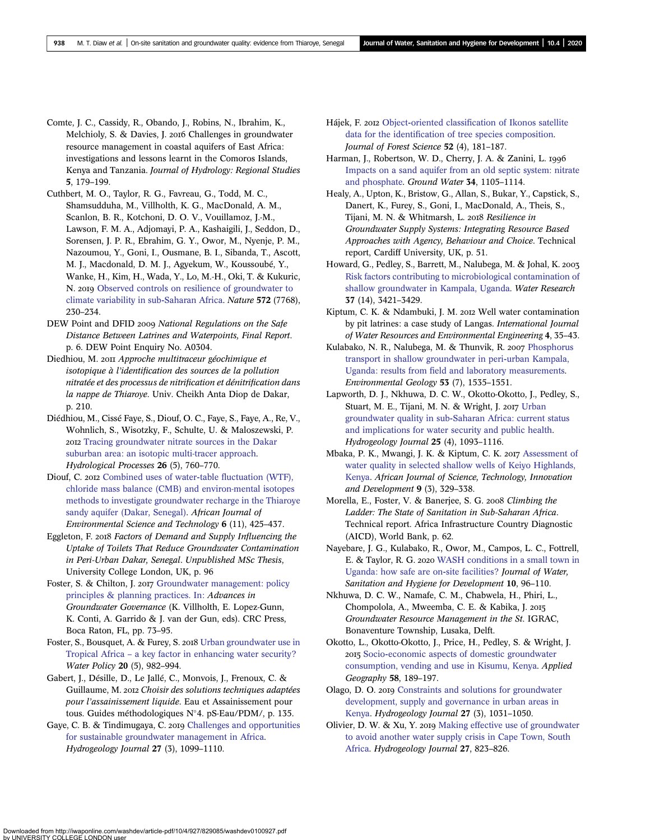- <span id="page-11-0"></span>Comte, J. C., Cassidy, R., Obando, J., Robins, N., Ibrahim, K., Melchioly, S. & Davies, J. 2016 Challenges in groundwater resource management in coastal aquifers of East Africa: investigations and lessons learnt in the Comoros Islands, Kenya and Tanzania. Journal of Hydrology: Regional Studies 5, 179–199.
- Cuthbert, M. O., Taylor, R. G., Favreau, G., Todd, M. C., Shamsudduha, M., Villholth, K. G., MacDonald, A. M., Scanlon, B. R., Kotchoni, D. O. V., Vouillamoz, J.-M., Lawson, F. M. A., Adjomayi, P. A., Kashaigili, J., Seddon, D., Sorensen, J. P. R., Ebrahim, G. Y., Owor, M., Nyenje, P. M., Nazoumou, Y., Goni, I., Ousmane, B. I., Sibanda, T., Ascott, M. J., Macdonald, D. M. J., Agyekum, W., Koussoubé, Y., Wanke, H., Kim, H., Wada, Y., Lo, M.-H., Oki, T. & Kukuric, N. 2019 [Observed controls on resilience of groundwater to](http://dx.doi.org/10.1038/s41586-019-1441-7) [climate variability in sub](http://dx.doi.org/10.1038/s41586-019-1441-7)-Saharan Africa. Nature 572 (7768), 230–234.
- DEW Point and DFID 2009 National Regulations on the Safe Distance Between Latrines and Waterpoints, Final Report. p. 6. DEW Point Enquiry No. A0304.
- Diedhiou, M. 2011 Approche multitraceur géochimique et isotopique à l'identification des sources de la pollution nitratée et des processus de nitrification et dénitrification dans la nappe de Thiaroye. Univ. Cheikh Anta Diop de Dakar, p. 210.
- Diédhiou, M., Cissé Faye, S., Diouf, O. C., Faye, S., Faye, A., Re, V., Wohnlich, S., Wisotzky, F., Schulte, U. & Maloszewski, P. [Tracing groundwater nitrate sources in the Dakar](http://dx.doi.org/10.1002/hyp.8172) [suburban area: an isotopic multi-tracer approach](http://dx.doi.org/10.1002/hyp.8172). Hydrological Processes 26 (5), 760–770.
- Diouf, C. 2012 [Combined uses of water](http://dx.doi.org/10.5897/AJEST12.100)-table fluctuation (WTF), [chloride mass balance \(CMB\) and environ-mental isotopes](http://dx.doi.org/10.5897/AJEST12.100) [methods to investigate groundwater recharge in the Thiaroye](http://dx.doi.org/10.5897/AJEST12.100) [sandy aquifer \(Dakar, Senegal\)](http://dx.doi.org/10.5897/AJEST12.100). African Journal of Environmental Science and Technology 6 (11), 425–437.
- Eggleton, F. 2018 Factors of Demand and Supply Influencing the Uptake of Toilets That Reduce Groundwater Contamination in Peri-Urban Dakar, Senegal. Unpublished MSc Thesis, University College London, UK, p. 96
- Foster, S. & Chilton, J. 2017 [Groundwater management: policy](http://dx.doi.org/10.1201/9781315210025-4) [principles & planning practices. In:](http://dx.doi.org/10.1201/9781315210025-4) Advances in Groundwater Governance (K. Villholth, E. Lopez-Gunn, K. Conti, A. Garrido & J. van der Gun, eds). CRC Press, Boca Raton, FL, pp. 73–95.
- Foster, S., Bousquet, A. & Furey, S. 2018 [Urban groundwater use in](http://dx.doi.org/10.2166/wp.2018.056) Tropical Africa – [a key factor in enhancing water security?](http://dx.doi.org/10.2166/wp.2018.056) Water Policy 20 (5), 982–994.
- Gabert, J., Désille, D., Le Jallé, C., Monvois, J., Frenoux, C. & Guillaume, M. 2012 Choisir des solutions techniques adaptées pour l'assainissement liquide. Eau et Assainissement pour tous. Guides méthodologiques N°4. pS-Eau/PDM/, p. 135.
- Gaye, C. B. & Tindimugaya, C. 2019 [Challenges and opportunities](http://dx.doi.org/10.1007/s10040-018-1892-1) [for sustainable groundwater management in Africa.](http://dx.doi.org/10.1007/s10040-018-1892-1) Hydrogeology Journal 27 (3), 1099–1110.
- Hájek, F. 2012 Object-oriented classifi[cation of Ikonos satellite](http://dx.doi.org/10.17221/4500-JFS) data for the identifi[cation of tree species composition](http://dx.doi.org/10.17221/4500-JFS). Journal of Forest Science 52 (4), 181–187.
- Harman, J., Robertson, W. D., Cherry, J. A. & Zanini, L. 1996 [Impacts on a sand aquifer from an old septic system: nitrate](http://dx.doi.org/10.1111/j.1745-6584.1996.tb02177.x) [and phosphate.](http://dx.doi.org/10.1111/j.1745-6584.1996.tb02177.x) Ground Water 34, 1105–1114.
- Healy, A., Upton, K., Bristow, G., Allan, S., Bukar, Y., Capstick, S., Danert, K., Furey, S., Goni, I., MacDonald, A., Theis, S., Tijani, M. N. & Whitmarsh, L. 2018 Resilience in Groundwater Supply Systems: Integrating Resource Based Approaches with Agency, Behaviour and Choice. Technical report, Cardiff University, UK, p. 51.
- Howard, G., Pedley, S., Barrett, M., Nalubega, M. & Johal, K. [Risk factors contributing to microbiological contamination of](http://dx.doi.org/10.1016/S0043-1354(03)00235-5) [shallow groundwater in Kampala, Uganda.](http://dx.doi.org/10.1016/S0043-1354(03)00235-5) Water Research 37 (14), 3421–3429.
- Kiptum, C. K. & Ndambuki, J. M. 2012 Well water contamination by pit latrines: a case study of Langas. International Journal of Water Resources and Environmental Engineering 4, 35–43.
- Kulabako, N. R., Nalubega, M. & Thunvik, R. 2007 [Phosphorus](http://dx.doi.org/10.1007/s00254-007-0764-0) [transport in shallow groundwater in peri](http://dx.doi.org/10.1007/s00254-007-0764-0)-urban Kampala, Uganda: results from fi[eld and laboratory measurements.](http://dx.doi.org/10.1007/s00254-007-0764-0) Environmental Geology 53 (7), 1535–1551.
- Lapworth, D. J., Nkhuwa, D. C. W., Okotto-Okotto, J., Pedley, S., Stuart, M. E., Tijani, M. N. & Wright, J. 2017 [Urban](http://dx.doi.org/10.1007/s10040-016-1516-6) groundwater quality in sub-[Saharan Africa: current status](http://dx.doi.org/10.1007/s10040-016-1516-6) [and implications for water security and public health.](http://dx.doi.org/10.1007/s10040-016-1516-6) Hydrogeology Journal 25 (4), 1093–1116.
- Mbaka, P. K., Mwangi, J. K. & Kiptum, C. K. 2017 [Assessment of](http://dx.doi.org/10.1080/20421338.2017.1327476) [water quality in selected shallow wells of Keiyo Highlands,](http://dx.doi.org/10.1080/20421338.2017.1327476) [Kenya](http://dx.doi.org/10.1080/20421338.2017.1327476). African Journal of Science, Technology, Innovation and Development 9 (3), 329–338.
- Morella, E., Foster, V. & Banerjee, S. G. 2008 Climbing the Ladder: The State of Sanitation in Sub-Saharan Africa. Technical report. Africa Infrastructure Country Diagnostic (AICD), World Bank, p. 62.
- Nayebare, J. G., Kulabako, R., Owor, M., Campos, L. C., Fottrell, E. & Taylor, R. G. 2020 [WASH conditions in a small town in](http://dx.doi.org/10.2166/washdev.2019.070) [Uganda: how safe are on](http://dx.doi.org/10.2166/washdev.2019.070)-site facilities? Journal of Water, Sanitation and Hygiene for Development 10, 96–110.
- Nkhuwa, D. C. W., Namafe, C. M., Chabwela, H., Phiri, L., Chompolola, A., Mweemba, C. E. & Kabika, J. Groundwater Resource Management in the St. IGRAC, Bonaventure Township, Lusaka, Delft.
- Okotto, L., Okotto-Okotto, J., Price, H., Pedley, S. & Wright, J. Socio-[economic aspects of domestic groundwater](http://dx.doi.org/10.1016/j.apgeog.2015.02.009) [consumption, vending and use in Kisumu, Kenya.](http://dx.doi.org/10.1016/j.apgeog.2015.02.009) Applied Geography 58, 189–197.
- Olago, D. O. 2019 [Constraints and solutions for groundwater](http://dx.doi.org/10.1007/s10040-018-1895-y) [development, supply and governance in urban areas in](http://dx.doi.org/10.1007/s10040-018-1895-y) [Kenya](http://dx.doi.org/10.1007/s10040-018-1895-y). Hydrogeology Journal 27 (3), 1031–1050.
- Olivier, D. W. & Xu, Y. 2019 [Making effective use of groundwater](http://dx.doi.org/10.1007/s10040-018-1893-0) [to avoid another water supply crisis in Cape Town, South](http://dx.doi.org/10.1007/s10040-018-1893-0) [Africa.](http://dx.doi.org/10.1007/s10040-018-1893-0) Hydrogeology Journal 27, 823–826.

Downloaded from http://iwaponline.com/washdev/article-pdf/10/4/927/829085/washdev0100927.pdf by UNIVERSITY COLLEGE LONDON user